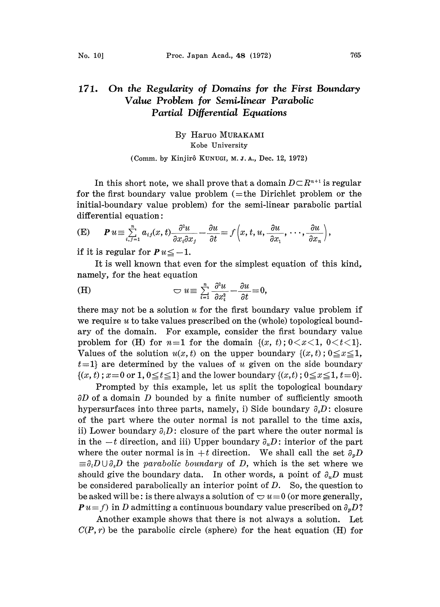## 171. On the Regularity of Domains for the First Boundary Value Problem for Semi.linear Parabolic Partial Differential Equations

By Haruo MURAKAMI Kobe University

(Comm. by Kinjirô KUNUGI, M. J. A., Dec. 12, 1972)

In this short note, we shall prove that a domain  $D \subset \mathbb{R}^{n+1}$  is regular for the first boundary value problem  $(=$ the Dirichlet problem or the initial-boundary value problem) for the semi-linear parabolic partial differential equation:

(E) 
$$
\boldsymbol{P} u \equiv \sum_{i,j=1}^n a_{ij}(x,t) \frac{\partial^2 u}{\partial x_i \partial x_j} - \frac{\partial u}{\partial t} = f\left(x,t,u, \frac{\partial u}{\partial x_1},\cdots,\frac{\partial u}{\partial x_n}\right),
$$

if it is regular for  $P u \le -1$ .

 $\le -1.$ <br>hat ev<br>quatio It is well known that even for the simplest equation of this kind, namely, for the heat equation

(H) 
$$
\bigcirc u \equiv \sum_{i=1}^{n} \frac{\partial^2 u}{\partial x_i^2} - \frac{\partial u}{\partial t} = 0,
$$

there may not be a solution  $u$  for the first boundary value problem if we require  $u$  to take values prescribed on the (whole) topological boundary of the domain. For example, consider the first boundary value problem for (H) for  $n=1$  for the domain  $\{(x, t): 0 < x < 1, 0 < t < 1\}.$ Values of the solution  $u(x, t)$  on the upper boundary  $\{(x, t) : 0 \le x \le 1,$  $t=1$  are determined by the values of u given on the side boundary  $\{(x, t)$ ;  $x = 0$  or 1,  $0 \le t \le 1\}$  and the lower boundary  $\{(x, t)$ ;  $0 \le x \le 1, t = 0\}$ .

Prompted by this example, let us split the topological boundary  $\partial D$  of a domain D bounded by a finite number of sufficiently smooth hypersurfaces into three parts, namely, i) Side boundary  $\partial_s D$ : closure of the part where the outer normal is not parallel to the time axis, ii) Lower boundary  $\partial_i D$ : closure of the part where the outer normal is in the  $-t$  direction, and iii) Upper boundary  $\partial_u D$ : interior of the part where the outer normal is in  $+t$  direction. We shall call the set  $\partial_p D$  $\equiv \partial_i D \cup \partial_i D$  the parabolic boundary of D, which is the set where we should give the boundary data. In other words, a point of  $\partial_{\mu}D$  must be considered parabolically an interior point of  $D$ . So, the question to be asked will be: is there always a solution of  $\bigcirc u=0$  (or more generally,  $P u = f$ ) in D admitting a continuous boundary value prescribed on  $\partial_p D$ ?

Another example shows that there is not always a solution. Let  $C(P, r)$  be the parabolic circle (sphere) for the heat equation (H) for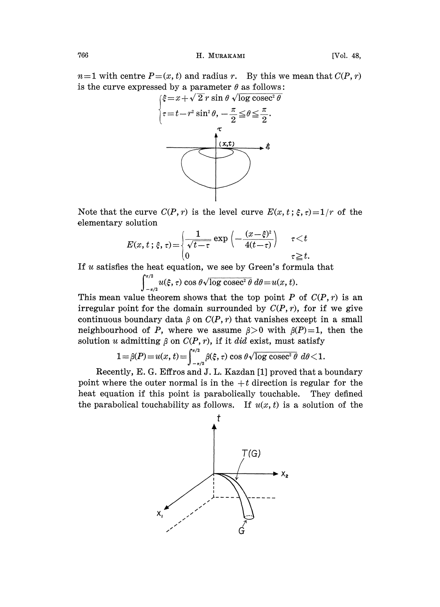## 766 **H. MURAKAMI** [Vol. 48,

 $n=1$  with centre  $P=(x, t)$  and radius r. By this we mean that  $C(P, r)$ is the curve expressed by a parameter  $\theta$  as follows:



Note that the curve  $C(P, r)$  is the level curve  $E(x, t; \xi, \tau)=1/r$  of the elementary solution

$$
E(x, t; \xi, \tau) = \begin{cases} \frac{1}{\sqrt{t-\tau}} \exp\left(-\frac{(x-\xi)^2}{4(t-\tau)}\right) & \tau < t \\ 0 & \tau \geq t. \end{cases}
$$

If  $u$  satisfies the heat equation, we see by Green's formula that

 $\frac{\pi}{2} u(\xi, \tau) \cos \theta \sqrt{\log \csc^2 \theta} d\theta = u(x, t).$ 

This mean value theorem shows that the top point P of  $C(P, r)$  is an irregular point for the domain surrounded by  $C(P, r)$ , for if we give continuous boundary data  $\beta$  on  $C(P, r)$  that vanishes except in a small neighbourhood of P, where we assume  $\beta > 0$  with  $\beta(P) = 1$ , then the solution u admitting  $\beta$  on  $C(P, r)$ , if it did exist, must satisfy

$$
1 = \beta(P) = u(x, t) = \int_{-\pi/2}^{\pi/2} \beta(\xi, \tau) \cos \theta \sqrt{\log \csc^2 \theta} \, d\theta < 1.
$$

Recently, E. G. Effros and J. L. Kazdan [1] proved that a boundary point where the outer normal is in the  $+t$  direction is regular for the heat equation if this point is parabolically touchable. They defined the parabolical touchability as follows. If  $u(x, t)$  is a solution of the

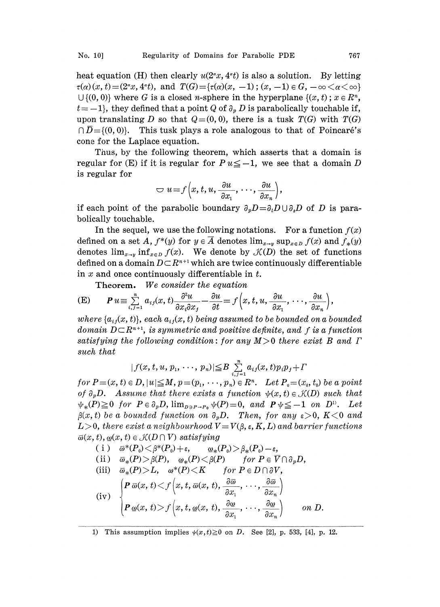heat equation (H) then clearly  $u(2^{\alpha}x, 4^{\alpha}t)$  is also a solution. By letting  $\tau(\alpha)(x, t) = (2^{\alpha}x, 4^{\alpha}t), \text{ and } T(G) = \{\tau(\alpha)(x, -1) \,;\, (x, -1) \in G, -\infty \leq \alpha \leq \infty\}$  $\bigcup \{ (0, 0) \}$  where G is a closed *n*-sphere in the hyperplane  $\{ (x, t) \, ; \, x \in \mathbb{R}^n, \}$  $t = -1$ , they defined that a point Q of  $\partial_p D$  is parabolically touchable if, upon translating D so that  $Q=(0, 0)$ , there is a tusk  $T(G)$  with  $T(G)$  $\overline{D} = \{(0, 0)\}\$ . This tusk plays a role analogous to that of Poincaré's cone for the Laplace equation.

Thus, by the following theorem, which asserts that a domain is regular for (E) if it is regular for  $P u \le -1$ , we see that a domain D is regular for

$$
\bigcirc u = f\left(x, t, u, \frac{\partial u}{\partial x_1}, \cdots, \frac{\partial u}{\partial x_n}\right),
$$

if each point of the parabolic boundary  $\partial_p D = \partial_i D \cup \partial_s D$  of D is parabolically touchable.

In the sequel, we use the following notations. For a function  $f(x)$ defined on a set A,  $f^*(y)$  for  $y \in \overline{A}$  denotes  $\lim_{x \to y} \sup_{x \in D} f(x)$  and  $f_*(y)$ denotes  $\lim_{x\to y} \inf_{x\in D} f(x)$ . We denote by  $\mathcal{K}(D)$  the set of functions defined on a domain  $D \subset \mathbb{R}^{n+1}$  which are twice continuously differentiable in  $x$  and once continuously differentiable in  $t$ .

**Theorem.** We consider the equation  
\n(E) 
$$
P u \equiv \sum_{i,j=1}^{n} a_{ij}(x,t) \frac{\partial^2 u}{\partial x_i \partial x_j} - \frac{\partial u}{\partial t} = f\left(x, t, u, \frac{\partial u}{\partial x_1}, \dots, \frac{\partial u}{\partial x_n}\right)
$$
,

where  $\{a_{ij}(x, t)\}$ , each  $a_{ij}(x, t)$  being assumed to be bounded on a bounded domain  $D \subset R^{n+1}$ , is symmetric and positive definite, and f is a function domain  $D \subset R^{n+1}$ , is symmetric and positive definite, and f is a function satisfying the following condition: for any  $M>0$  there exist B and  $\Gamma$ such that

$$
|f(x, t, u, p_1, \cdots, p_n)| \leq B \sum_{i,j=1}^n a_{ij}(x, t) p_i p_j + \Gamma
$$

for  $P=(x, t) \in D, |u| \leq M, p=(p_1, \dots, p_n) \in R^n$ . Let  $P_0=(x_0, t_0)$  be a point of  $\partial_p D$ . Assume that there exists a function  $\psi(x, t) \in \mathcal{K}(D)$  such that  $\psi_*(P) \geq 0$  for  $P \in \partial_p D$ ,  $\lim_{D \ni P \to P_0} \psi(P) = 0$ , and  $P \psi \leq -1$  on  $D^{\mathfrak{D}}$ . Let  $f(x, t)$  be a bounded function on  $\partial_p D$ . Then, for any  $\varepsilon > 0$ ,  $K < 0$  and  $L > 0$ , there exist a neighbourhood  $V = V(\beta, \varepsilon, K, L)$  and barrier functions  $\overline{\omega}(x, t), \underline{\omega}(x, t) \in \mathcal{K}(D \cap V)$  satisfying

(i) 
$$
\overline{\omega}^*(P_0) < \beta^*(P_0) + \varepsilon
$$
,  $\omega_*(P_0) > \beta_*(P_0) - \varepsilon$ ,  
\n(ii)  $\overline{\omega}_*(P) > \beta(P)$ ,  $\omega_*(P) < \beta(P)$  for  $P \in \overline{V} \cap \partial_p D$ ,  
\n(iii)  $\overline{\omega}_*(P) > L$ ,  $\omega^*(P) < K$  for  $P \in D \cap \partial V$ ,  
\n(iv) 
$$
\begin{cases} P \overline{\omega}(x, t) < f(x, t, \overline{\omega}(x, t), \frac{\partial \overline{\omega}}{\partial x_1}, \cdots, \frac{\partial \overline{\omega}}{\partial x_n}) \\ P \underline{\omega}(x, t) > f(x, t, \underline{\omega}(x, t), \frac{\partial \underline{\omega}}{\partial x_1}, \cdots, \frac{\partial \underline{\omega}}{\partial x_n}) \end{cases}
$$
on D.

1) This assumption implies  $\psi(x,t) \ge 0$  on D. See [2], p. 533, [4], p. 12.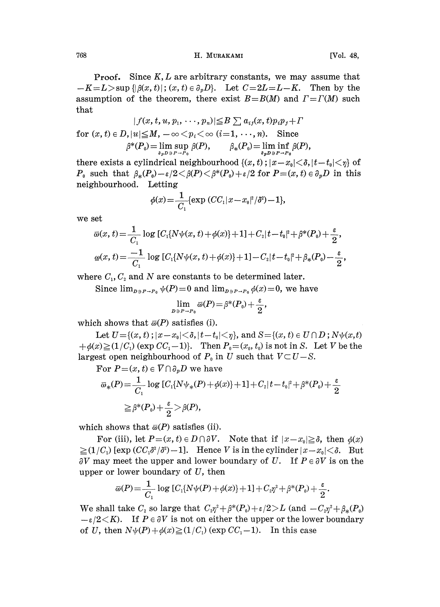## 768 H. MURAKAMI [Vol. 48,

**Proof.** Since  $K, L$  are arbitrary constants, we may assume that  $-K=L>$ sup  $\{\left|\beta(x, t)\right|; (x, t) \in \partial_p D\}$ . Let  $C=2L=L-K$ . Then by the assumption of the theorem, there exist  $B=B(M)$  and  $T=T(M)$  such that

$$
|f(x, t, u, p_1, \cdots, p_n)| \leq B \sum a_{ij}(x, t) p_i p_j + \Gamma
$$
  
for  $(x, t) \in D$ ,  $|u| \leq M$ ,  $-\infty < p_i < \infty$   $(i=1, \cdots, n)$ . Since  

$$
\beta^*(P_0) = \lim_{\delta_p D \ni P \to P_0} \beta(P), \qquad \beta_*(P_0) = \lim_{\delta_p D \ni P \to P_0} \beta(P),
$$

there exists a cylindrical neighbourhood  $\{(x, t)$ ;  $|x-x_0|<\delta$ ,  $|t-t_0|<\eta\}$  of  $P_0$  such that  $\beta_*(P_0)-\varepsilon/2<\beta(P)<\beta^*(P_0)+\varepsilon/2$  for  $P=(x, t) \in \partial_p D$  in this neighbourhood. Letting

$$
\phi(x) = \frac{1}{C_1} \{ \exp (CC_1 |x - x_0|^2 / \delta^2) - 1 \},\
$$

we set

$$
\overline{\omega}(x,t) = \frac{1}{C_1} \log [C_1\{N\psi(x,t) + \phi(x)\} + 1] + C_2|t - t_0|^2 + \beta^*(P_0) + \frac{\varepsilon}{2},
$$
  

$$
\omega(x,t) = \frac{-1}{C_1} \log [C_1\{N\psi(x,t) + \phi(x)\} + 1] - C_2|t - t_0|^2 + \beta_*(P_0) - \frac{\varepsilon}{2},
$$

where  $C_1, C_2$  and N are constants to be determined later.

Since  $\lim_{p\to P^+} \psi(P)=0$  and  $\lim_{p\to P^+} \phi(x)=0$ , we have

$$
\lim_{D\ni P\to P_0}\overline{\omega}(P) = \beta^*(P_0) + \frac{\varepsilon}{2},
$$

which shows that  $\bar{\omega}(P)$  satisfies (i).

Let  $U = \{(x, t) : |x - x_0| < \delta, |t - t_0| < \eta\}$ , and  $S = \{(x, t) \in U \cap D : N\psi(x, t)\}$  $+\phi(x)\geq(1/C_1)$  (exp  $CC_1-1$ ). Then  $P_0=(x_0, t_0)$  is not in S. Let V be the largest open neighbourhood of  $P_0$  in U such that  $V \subset U - S$ .<br>For  $P = (x, t) \in \overline{V} \cap \partial_n D$  we have

For 
$$
P=(x, t) \in \overline{V} \cap \partial_p D
$$
 we have  
\n
$$
\overline{\omega}_*(P) = \frac{1}{C_1} \log [C_1 \{ N \psi_*(P) + \phi(x) \} + 1] + C_2 |t - t_0|^2 + \beta^*(P_0) + \frac{\varepsilon}{2}
$$
\n
$$
\geq \beta^*(P_0) + \frac{\varepsilon}{2} > \beta(P),
$$

which shows that  $\bar{\omega}(P)$  satisfies (ii).

 $\frac{1}{2} > \beta(P),$ <br>
?) satisfie<br>  $(x, t) \in D$ <br>
?) -1]. F For (iii), let  $P=(x, t) \in D \cap \partial V$ . Note that if  $|x-x_0| \geq \delta$ , then  $\phi(x)$  $\geq (1/C_1)$  [exp  $(CC_1\delta^2/\delta^2)-1$ ]. Hence V is in the cylinder  $|x-x_0|<\delta$ . But  $\partial V$  may meet the upper and lower boundary of U. If  $P \in \partial V$  is on the upper or lower boundary of  $U$ , then

$$
\overline{\omega}(P) = \frac{1}{C_1} \log [C_1\{N\psi(P) + \phi(x)\} + 1] + C_2 \eta^2 + \beta^*(P_0) + \frac{\varepsilon}{2}.
$$

We shall take  $C_2$  so large that  $C_2\eta^2+\beta^*(P_0)+\epsilon/2>L$  (and  $-C_2\eta^2+\beta_*(P_0)$ )  $-\varepsilon/2\langle K\rangle$ . If  $P\in \partial V$  is not on either the upper or the lower boundary of U, then  $N\psi(P)+\phi(x)\geq (1/C_1)$  (exp  $CC_1-1$ ). In this case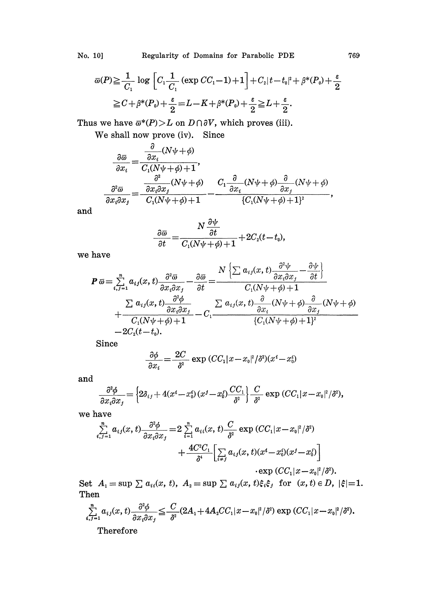$$
\overline{\omega}(P) \geq \frac{1}{C_1} \log \left[ C_1 \frac{1}{C_1} \left( \exp CC_1 - 1 \right) + 1 \right] + C_2 |t - t_0|^2 + \beta^*(P_0) + \frac{\varepsilon}{2}
$$
  
\n
$$
\geq C + \beta^*(P_0) + \frac{\varepsilon}{2} = L - K + \beta^*(P_0) + \frac{\varepsilon}{2} \geq L + \frac{\varepsilon}{2}.
$$
  
\nWe have  $\overline{\omega}^*(P) > L$  on  $D \cap \partial V$ , which proves (iii).  
\nWe shall now prove (iv). Since

Thus we have  $\overline{\omega}^*(P) > L$  on  $D \cap \partial V$ , which proves (iii).

We shall now prove (iv). Since

$$
\frac{\partial \overline{\omega}}{\partial x_i} = \frac{\frac{\partial}{\partial x_i}(N\psi + \phi)}{C_1(N\psi + \phi) + 1},
$$
\n
$$
\frac{\partial^2 \overline{\omega}}{\partial x_i \partial x_j} = \frac{\frac{\partial^2}{\partial x_i \partial x_j}(N\psi + \phi)}{C_1(N\psi + \phi) + 1} - \frac{C_1 \frac{\partial}{\partial x_i}(N\psi + \phi) \frac{\partial}{\partial x_j}(N\psi + \phi)}{\{C_1(N\psi + \phi) + 1\}^2},
$$

and

$$
\frac{\partial \overline{\omega}}{\partial t} = \frac{N \frac{\partial \psi}{\partial t}}{C_1(N\psi + \phi) + 1} + 2C_2(t - t_0),
$$

we have

$$
\mathbf{P} \overline{\omega} = \sum_{i,j=1}^{n} a_{ij}(x,t) \frac{\partial^2 \overline{\omega}}{\partial x_i \partial x_j} - \frac{\partial \overline{\omega}}{\partial t} = \frac{N \left\{ \sum a_{ij}(x,t) \frac{\partial^2 \psi}{\partial x_i \partial x_j} - \frac{\partial \psi}{\partial t} \right\}}{C_1(N\psi + \phi) + 1} + \frac{\sum a_{ij}(x,t) \frac{\partial^2 \phi}{\partial x_i \partial x_j}}{C_1(N\psi + \phi) + 1} - C_1 \frac{\sum a_{ij}(x,t) \frac{\partial}{\partial x_i} (N\psi + \phi) \frac{\partial}{\partial x_j} (N\psi + \phi)}{C_1(N\psi + \phi) + 1]^2} - 2C_2(t - t_0).
$$

Since

$$
\frac{\partial \phi}{\partial x_i} = \frac{2C}{\delta^2} \exp (CC_1 |x - x_0|^2 / \delta^2)(x^i - x_0^i)
$$

and

$$
\frac{\partial^2 \phi}{\partial x_i \partial x_j} = \left\{ 2\delta_{ij} + 4(x^i - x_0^i) (x^j - x_0^j) \frac{CC_1}{\delta^2} \right\} \frac{C}{\delta^2} \exp (CC_1 |x - x_0|^2 / \delta^2),
$$

we have

$$
\frac{\partial \varphi}{\partial x_i \partial x_j} = \left\{ 2\delta_{ij} + 4(x^i - x_0^i) (x^j - x_0^j) \frac{C_1}{\delta^2} \right\} \frac{C}{\delta^2} \exp (CC_1 |x - x_0|^2 / \delta^2)
$$
  
\nhave  
\n
$$
\sum_{i,j=1}^n a_{ij}(x, t) \frac{\partial^2 \phi}{\partial x_i \partial x_j} = 2 \sum_{i=1}^n a_{ii}(x, t) \frac{C}{\delta^2} \exp (CC_1 |x - x_0|^2 / \delta^2)
$$
  
\n
$$
+ \frac{4C^2 C_1}{\delta^4} \left[ \sum_{i \neq j} a_{ij}(x, t) (x^i - x_0^i) (x^j - x_0^j) \right]
$$
  
\n
$$
\exp (CC_1 |x - x_0|^2 / \delta^2).
$$

Set  $A_1 = \sup \sum a_{ii}(x, t)$ ,  $A_2 = \sup \sum a_{ij}(x, t) \xi_i \xi_j$  for  $(x, t) \in D$ ,  $|\xi|=1$ . Then

$$
\sum_{i,j=1}^n a_{ij}(x,t) \frac{\partial^2 \phi}{\partial x_i \partial x_j} \leq \frac{C}{\delta^2} (2A_1 + 4A_2 CC_1 |x - x_0|^2 / \delta^2) \exp (CC_1 |x - x_0|^2 / \delta^2).
$$
  
Therefore